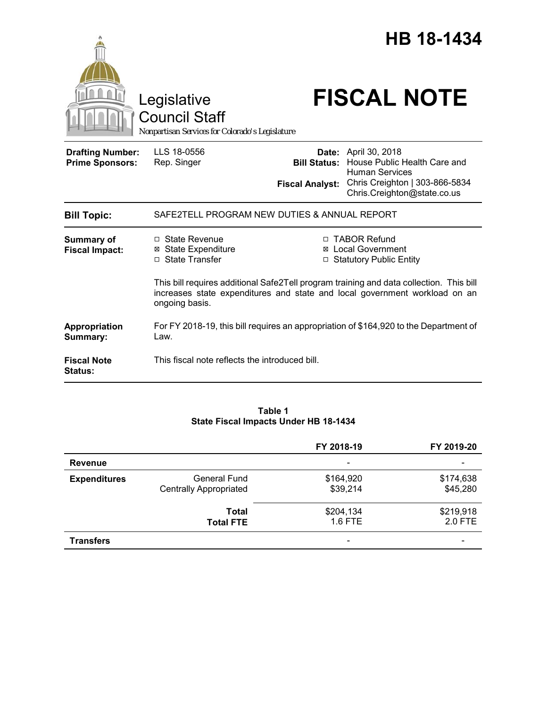|  | HB 18-1434 |
|--|------------|
|  |            |



Legislative<br>Council Staff

# **FISCAL NOTE**

*Nonpartisan Services for Colorado's Legislature*

| <b>Drafting Number:</b><br><b>Prime Sponsors:</b> | LLS 18-0556<br>Rep. Singer                                                                    | <b>Bill Status:</b><br><b>Fiscal Analyst:</b> | Date: April 30, 2018<br>House Public Health Care and<br><b>Human Services</b><br>Chris Creighton   303-866-5834<br>Chris.Creighton@state.co.us                                                                                                       |
|---------------------------------------------------|-----------------------------------------------------------------------------------------------|-----------------------------------------------|------------------------------------------------------------------------------------------------------------------------------------------------------------------------------------------------------------------------------------------------------|
| <b>Bill Topic:</b>                                | SAFE2TELL PROGRAM NEW DUTIES & ANNUAL REPORT                                                  |                                               |                                                                                                                                                                                                                                                      |
| <b>Summary of</b><br><b>Fiscal Impact:</b>        | $\Box$ State Revenue<br><b>State Expenditure</b><br>⊠<br>□ State Transfer<br>ongoing basis.   | ⊠                                             | <b>TABOR Refund</b><br><b>Local Government</b><br>□ Statutory Public Entity<br>This bill requires additional Safe2Tell program training and data collection. This bill<br>increases state expenditures and state and local government workload on an |
| Appropriation<br>Summary:                         | For FY 2018-19, this bill requires an appropriation of \$164,920 to the Department of<br>Law. |                                               |                                                                                                                                                                                                                                                      |
| <b>Fiscal Note</b><br><b>Status:</b>              | This fiscal note reflects the introduced bill.                                                |                                               |                                                                                                                                                                                                                                                      |

#### **Table 1 State Fiscal Impacts Under HB 18-1434**

|                     |                                                      | FY 2018-19               | FY 2019-20            |
|---------------------|------------------------------------------------------|--------------------------|-----------------------|
| <b>Revenue</b>      |                                                      | $\overline{\phantom{a}}$ |                       |
| <b>Expenditures</b> | <b>General Fund</b><br><b>Centrally Appropriated</b> | \$164,920<br>\$39,214    | \$174,638<br>\$45,280 |
|                     | Total<br><b>Total FTE</b>                            | \$204,134<br>1.6 FTE     | \$219,918<br>2.0 FTE  |
| <b>Transfers</b>    |                                                      |                          |                       |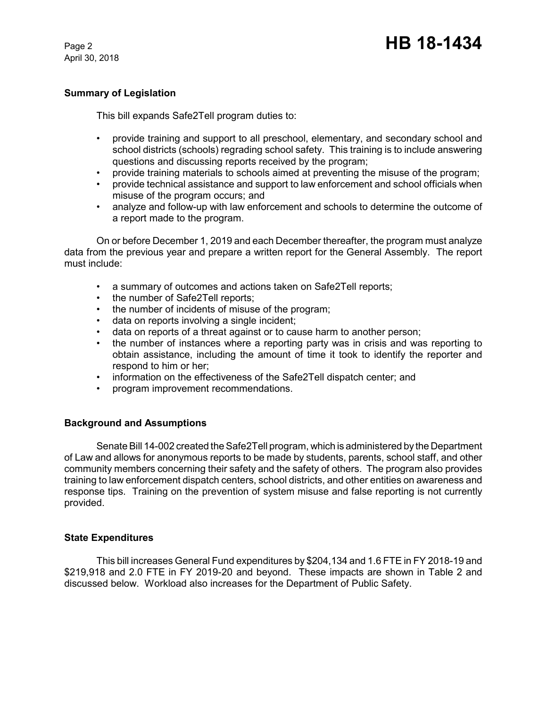April 30, 2018

## **Summary of Legislation**

This bill expands Safe2Tell program duties to:

- provide training and support to all preschool, elementary, and secondary school and school districts (schools) regrading school safety. This training is to include answering questions and discussing reports received by the program;
- provide training materials to schools aimed at preventing the misuse of the program;
- provide technical assistance and support to law enforcement and school officials when misuse of the program occurs; and
- analyze and follow-up with law enforcement and schools to determine the outcome of a report made to the program.

On or before December 1, 2019 and each December thereafter, the program must analyze data from the previous year and prepare a written report for the General Assembly. The report must include:

- a summary of outcomes and actions taken on Safe2Tell reports;
- the number of Safe2Tell reports:
- the number of incidents of misuse of the program;
- data on reports involving a single incident;
- data on reports of a threat against or to cause harm to another person;
- the number of instances where a reporting party was in crisis and was reporting to obtain assistance, including the amount of time it took to identify the reporter and respond to him or her;
- information on the effectiveness of the Safe2Tell dispatch center; and
- program improvement recommendations.

## **Background and Assumptions**

Senate Bill 14-002 created the Safe2Tell program, which is administered by the Department of Law and allows for anonymous reports to be made by students, parents, school staff, and other community members concerning their safety and the safety of others. The program also provides training to law enforcement dispatch centers, school districts, and other entities on awareness and response tips. Training on the prevention of system misuse and false reporting is not currently provided.

## **State Expenditures**

This bill increases General Fund expenditures by \$204,134 and 1.6 FTE in FY 2018-19 and \$219,918 and 2.0 FTE in FY 2019-20 and beyond. These impacts are shown in Table 2 and discussed below. Workload also increases for the Department of Public Safety.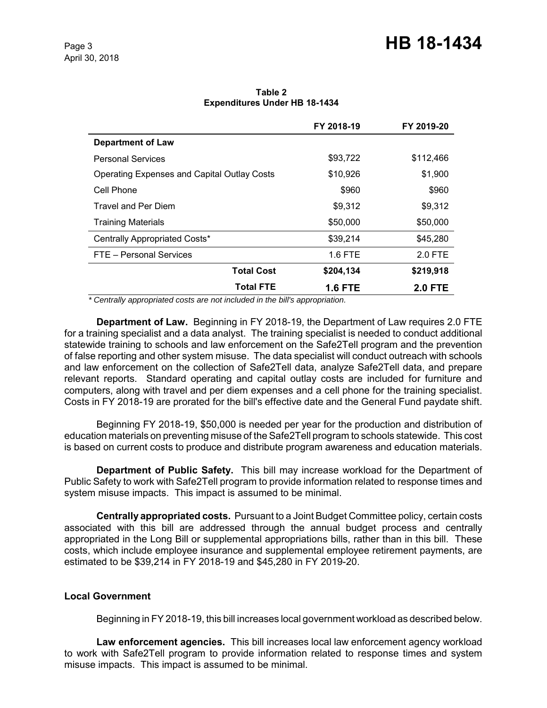|                                                    | FY 2018-19     | FY 2019-20     |
|----------------------------------------------------|----------------|----------------|
| <b>Department of Law</b>                           |                |                |
| <b>Personal Services</b>                           | \$93,722       | \$112,466      |
| <b>Operating Expenses and Capital Outlay Costs</b> | \$10,926       | \$1,900        |
| Cell Phone                                         | \$960          | \$960          |
| <b>Travel and Per Diem</b>                         | \$9,312        | \$9,312        |
| <b>Training Materials</b>                          | \$50,000       | \$50,000       |
| Centrally Appropriated Costs*                      | \$39,214       | \$45,280       |
| FTE - Personal Services                            | $1.6$ FTE      | 2.0 FTE        |
| <b>Total Cost</b>                                  | \$204,134      | \$219,918      |
| <b>Total FTE</b>                                   | <b>1.6 FTE</b> | <b>2.0 FTE</b> |

**Table 2 Expenditures Under HB 18-1434**

 *\* Centrally appropriated costs are not included in the bill's appropriation.*

**Department of Law.** Beginning in FY 2018-19, the Department of Law requires 2.0 FTE for a training specialist and a data analyst. The training specialist is needed to conduct additional statewide training to schools and law enforcement on the Safe2Tell program and the prevention of false reporting and other system misuse. The data specialist will conduct outreach with schools and law enforcement on the collection of Safe2Tell data, analyze Safe2Tell data, and prepare relevant reports. Standard operating and capital outlay costs are included for furniture and computers, along with travel and per diem expenses and a cell phone for the training specialist. Costs in FY 2018-19 are prorated for the bill's effective date and the General Fund paydate shift.

Beginning FY 2018-19, \$50,000 is needed per year for the production and distribution of education materials on preventing misuse of the Safe2Tell program to schools statewide. This cost is based on current costs to produce and distribute program awareness and education materials.

**Department of Public Safety.** This bill may increase workload for the Department of Public Safety to work with Safe2Tell program to provide information related to response times and system misuse impacts. This impact is assumed to be minimal.

**Centrally appropriated costs.** Pursuant to a Joint Budget Committee policy, certain costs associated with this bill are addressed through the annual budget process and centrally appropriated in the Long Bill or supplemental appropriations bills, rather than in this bill. These costs, which include employee insurance and supplemental employee retirement payments, are estimated to be \$39,214 in FY 2018-19 and \$45,280 in FY 2019-20.

## **Local Government**

Beginning in FY 2018-19, this bill increases local government workload as described below.

**Law enforcement agencies.** This bill increases local law enforcement agency workload to work with Safe2Tell program to provide information related to response times and system misuse impacts. This impact is assumed to be minimal.